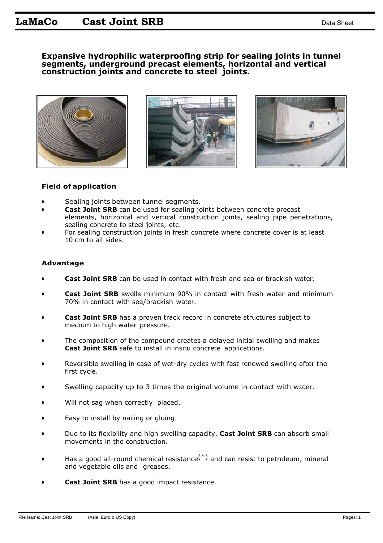## **Expansive hydrophilic waterproofing strip for sealing joints in tunnel segments, underground precast elements, horizontal and vertical construction joints and concrete to steel joints.**







### **Field of application**

- **•** Sealing joints between tunnel segments.
- **• Cast Joint SRB** can be used for sealing joints between concrete precast elements, horizontal and vertical construction joints, sealing pipe penetrations, sealing concrete to steel joints, etc.
- **•** For sealing construction joints in fresh concrete where concrete cover is at least 10 cm to all sides.

#### **Advantage**

- **Cast Joint SRB** can be used in contact with fresh and sea or brackish water.
- **• Cast Joint SRB** swells minimum 90% in contact with fresh water and minimum 70% in contact with sea/brackish water.
- **• Cast Joint SRB** has a proven track record in concrete structures subject to medium to high water pressure.
- **•** The composition of the compound creates a delayed initial swelling and makes **Cast Joint SRB** safe to install in insitu concrete applications.
- **•** Reversible swelling in case of wet-dry cycles with fast renewed swelling after the first cycle.
- **•** Swelling capacity up to 3 times the original volume in contact with water.
- Will not sag when correctly placed.
- **•** Easy to install by nailing or gluing.
- **•** Due to its flexibility and high swelling capacity, **Cast Joint SRB** can absorb small movements in the construction.
- **•** Has a good all-round chemical resistance(\*) and can resist to petroleum, mineral and vegetable oils and greases.
- **Cast Joint SRB** has a good impact resistance.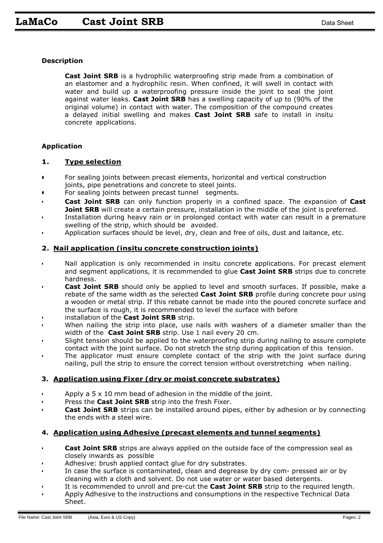### **Description**

**Cast Joint SRB** is a hydrophilic waterproofing strip made from a combination of an elastomer and a hydrophilic resin. When confined, it will swell in contact with water and build up a waterproofing pressure inside the joint to seal the joint against water leaks. **Cast Joint SRB** has a swelling capacity of up to (90% of the original volume) in contact with water. The composition of the compound creates a delayed initial swelling and makes **Cast Joint SRB** safe to install in insitu concrete applications.

### **Application**

### **1. Type selection**

- **•** For sealing joints between precast elements, horizontal and vertical construction joints, pipe penetrations and concrete to steel joints.
- **•** For sealing joints between precast tunnel segments.
- **Cast Joint SRB** can only function properly in a confined space. The expansion of **Cast Joint SRB** will create a certain pressure, installation in the middle of the joint is preferred.
- Installation during heavy rain or in prolonged contact with water can result in a premature swelling of the strip, which should be avoided.
- Application surfaces should be level, dry, clean and free of oils, dust and laitance, etc.

### **2. Nail application (insitu concrete construction joints)**

- Nail application is only recommended in insitu concrete applications. For precast element and segment applications, it is recommended to glue **Cast Joint SRB** strips due to concrete hardness.
- **Cast Joint SRB** should only be applied to level and smooth surfaces. If possible, make a rebate of the same width as the selected **Cast Joint SRB** profile during concrete pour using a wooden or metal strip. If this rebate cannot be made into the poured concrete surface and the surface is rough, it is recommended to level the surface with before
- installation of the **Cast Joint SRB** strip.
- When nailing the strip into place, use nails with washers of a diameter smaller than the width of the **Cast Joint SRB** strip. Use 1 nail every 20 cm.
- Slight tension should be applied to the waterproofing strip during nailing to assure complete contact with the joint surface. Do not stretch the strip during application of this tension.
- The applicator must ensure complete contact of the strip with the joint surface during nailing, pull the strip to ensure the correct tension without overstretching when nailing.

# **3. Application using Fixer (dry or moist concrete substrates)**

- Apply a 5 x 10 mm bead of adhesion in the middle of the joint.
- Press the **Cast Joint SRB** strip into the fresh Fixer.
- **Cast Joint SRB** strips can be installed around pipes, either by adhesion or by connecting the ends with a steel wire.

#### **4. Application using Adhesive (precast elements and tunnel segments)**

- **Cast Joint SRB** strips are always applied on the outside face of the compression seal as closely inwards as possible
- Adhesive: brush applied contact glue for dry substrates.
- In case the surface is contaminated, clean and degrease by dry com- pressed air or by cleaning with a cloth and solvent. Do not use water or water based detergents.
- It is recommended to unroll and pre-cut the **Cast Joint SRB** strip to the required length.
- Apply Adhesive to the instructions and consumptions in the respective Technical Data Sheet.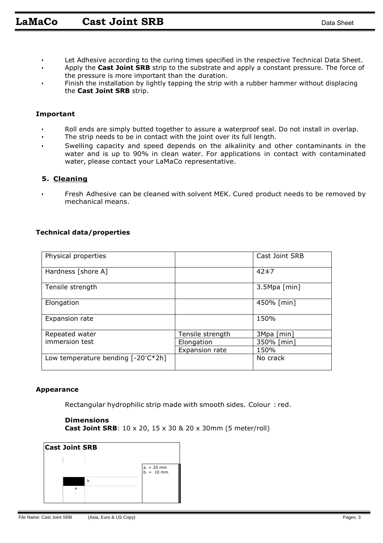- Let Adhesive according to the curing times specified in the respective Technical Data Sheet.
- Apply the **Cast Joint SRB** strip to the substrate and apply a constant pressure. The force of the pressure is more important than the duration.
- Finish the installation by lightly tapping the strip with a rubber hammer without displacing the **Cast Joint SRB** strip.

#### **Important**

- Roll ends are simply butted together to assure a waterproof seal. Do not install in overlap.
- The strip needs to be in contact with the joint over its full length.
- Swelling capacity and speed depends on the alkalinity and other contaminants in the water and is up to 90% in clean water. For applications in contact with contaminated water, please contact your LaMaCo representative.

### **5. Cleaning**

• Fresh Adhesive can be cleaned with solvent MEK. Cured product needs to be removed by mechanical means.

### **Technical data/properties**

| Physical properties                          |                  | Cast Joint SRB |
|----------------------------------------------|------------------|----------------|
| Hardness [shore A]                           |                  | 42±7           |
| Tensile strength                             |                  | 3.5Mpa [min]   |
| Elongation                                   |                  | 450% [min]     |
| Expansion rate                               |                  | 150%           |
| Repeated water                               | Tensile strength | 3Mpa [min]     |
| immersion test                               | Elongation       | 350% [min]     |
|                                              | Expansion rate   | 150%           |
| Low temperature bending $[-20^{\circ}C^*2h]$ |                  | No crack       |

#### **Appearance**

Rectangular hydrophilic strip made with smooth sides. Colour : red.

#### **Dimensions**

**Cast Joint SRB**: 10 x 20, 15 x 30 & 20 x 30mm (5 meter/roll)